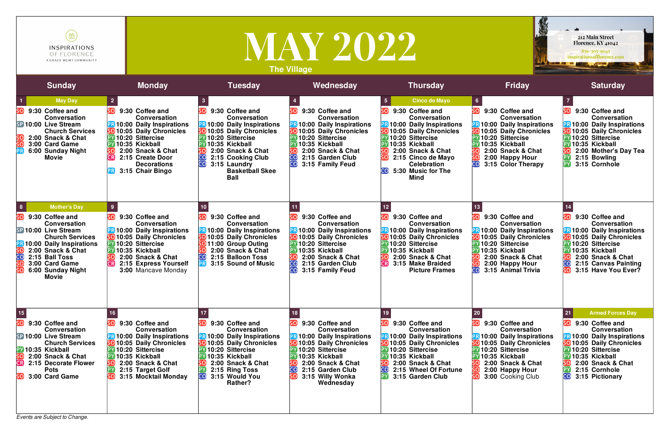*Events are Subject to Change.*



| $\mathbb{R}$<br>INSPIRATIONS<br>OF FLORENCE<br>A GRACE MGMT COMMUNITY                                                                                                                                                                                                                     |                                                                                                                                                                                                                                                            |                                                                                                                                                                                                                                              | <b>MAY 2022</b><br><b>The Village</b>                                                                                                                                                                                                                                    |                                                                                                                                                                                                                                                           |                                                                                                                                                                                                                                   | 212 Main Street<br>Florence, KY 41042<br>859-305-9045<br>inspirationsofflorence.com<br><b>All Development</b>                                                                                                                       |
|-------------------------------------------------------------------------------------------------------------------------------------------------------------------------------------------------------------------------------------------------------------------------------------------|------------------------------------------------------------------------------------------------------------------------------------------------------------------------------------------------------------------------------------------------------------|----------------------------------------------------------------------------------------------------------------------------------------------------------------------------------------------------------------------------------------------|--------------------------------------------------------------------------------------------------------------------------------------------------------------------------------------------------------------------------------------------------------------------------|-----------------------------------------------------------------------------------------------------------------------------------------------------------------------------------------------------------------------------------------------------------|-----------------------------------------------------------------------------------------------------------------------------------------------------------------------------------------------------------------------------------|-------------------------------------------------------------------------------------------------------------------------------------------------------------------------------------------------------------------------------------|
| <b>Sunday</b>                                                                                                                                                                                                                                                                             | <b>Monday</b>                                                                                                                                                                                                                                              | <b>Tuesday</b>                                                                                                                                                                                                                               | Wednesday                                                                                                                                                                                                                                                                | <b>Thursday</b>                                                                                                                                                                                                                                           | <b>Friday</b>                                                                                                                                                                                                                     | <b>Saturday</b>                                                                                                                                                                                                                     |
| <b>May Day</b><br>$\vert$ 1<br>5O)<br>9:30 Coffee and<br><b>Conversation</b><br>SP 10:00 Live Stream<br><b>Church Services</b><br>2:00 Snack & Chat<br>5O)<br>3:00 Card Game<br>6:00 Sunday Night<br><b>Movie</b>                                                                         | 9:30 Coffee and<br><b>Conversation</b><br>10:00 Daily Inspirations<br><b>SO</b> 10:05 Daily Chronicles<br><b>PY 10:20 Sittercise</b><br><b>PY 10:35 Kickball</b><br>2:00 Snack & Chat<br>CR)<br>2:15 Create Door<br><b>Decorations</b><br>3:15 Chair Bingo | 9:30 Coffee and<br><b>Conversation</b><br><b>10:00 Daily Inspirations</b><br>10:05 Daily Chronicles<br>10:20 Sittercise<br>10:35 Kickball<br>2:00 Snack & Chat<br>2:15 Cooking Club<br>ငဂါ<br>3:15 Laundry<br><b>Basketball Skee</b><br>Ball | SO.<br>9:30 Coffee and<br><b>Conversation</b><br><b>B</b> 10:00 Daily Inspirations<br><b>SO</b> 10:05 Daily Chronicles<br><b>PY 10:20 Sittercise</b><br>PY 10:35 Kickball<br>SO<br>2:00 Snack & Chat<br>$\overline{\mathsf{co}}$<br>2:15 Garden Club<br>3:15 Family Feud | <b>Cinco de Mayo</b><br>9:30 Coffee and<br><b>Conversation</b><br>10:00 Daily Inspirations<br>10:05 Daily Chronicles<br>10:20 Sittercise<br>10:35 Kickball<br>2:00 Snack & Chat<br>2:15 Cinco de Mayo<br><b>Celebration</b><br>5:30 Music for The<br>Mind | 9:30 Coffee and<br><b>Conversation</b><br><b>R10:00 Daily Inspirations</b><br><b>SO 10:05 Daily Chronicles</b><br><b>PY 10:20 Sittercise</b><br>10:35 Kickball<br>2:00 Snack & Chat<br>2:00 Happy Hour<br>3:15 Color Therapy      | SO.<br>9:30 Coffee and<br><b>Conversation</b><br>10:00 Daily Inspirations<br><b>SO</b> 10:05 Daily Chronicles<br><b>PY 10:20 Sittercise</b><br>PY 10:35 Kickball<br>2:00 Mother's Day Tea<br>2:15 Bowling<br>PΥ<br>3:15 Cornhole    |
| $\vert 8 \vert$<br><b>Mother's Day</b><br>9:30 Coffee and<br><b>Conversation</b><br>SP 10:00 Live Stream<br><b>Church Services</b><br><b>PR10:00 Daily Inspirations</b><br>2:00 Snack & Chat<br>$\overline{\mathbf{C}}$<br>2:15 Ball Toss<br>3:00 Card Game<br>6:00 Sunday Night<br>Movie | 9:30 Coffee and<br><b>Conversation</b><br>10:00 Daily Inspirations<br>5010:05 Daily Chronicles<br><b>PY 10:20 Sittercise</b><br><b>PY 10:35 Kickball</b><br>2:00 Snack & Chat<br><b>GR</b> 2:15 Express Yourself<br>3:00 Mancave Monday                    | 9:30 Coffee and<br><b>Conversation</b><br>10:00 Daily Inspirations<br>10:05 Daily Chronicles<br><b>SO</b> 11:00 Group Outing<br>2:00 Snack & Chat<br>2:15 Balloon Toss<br>3:15 Sound of Music                                                | 9:30 Coffee and<br><b>Conversation</b><br><b>R10:00 Daily Inspirations</b><br><b>SO</b> 10:05 Daily Chronicles<br><b>PY 10:20 Sittercise</b><br>10:35 Kickball<br>2:00 Snack & Chat<br>CO)<br>2:15 Garden Club<br>3:15 Family Feud                                       | 9:30 Coffee and<br><b>Conversation</b><br>10:00 Daily Inspirations<br>10:05 Daily Chronicles<br>10:20 Sittercise<br>10:35 Kickball<br>2:00 Snack & Chat<br><b>B</b> 3:15 Make Braided<br><b>Picture Frames</b>                                            | 9:30 Coffee and<br><b>Conversation</b><br><b>R10:00 Daily Inspirations</b><br><b>SO</b> 10:05 Daily Chronicles<br><b>PY 10:20 Sittercise</b><br>10:35 Kickball<br>2:00 Snack & Chat<br>2:00 Happy Hour<br>3:15 Animal Trivia      | SO<br>9:30 Coffee and<br><b>Conversation</b><br><b>B</b> 10:00 Daily Inspirations<br>so 10:05 Daily Chronicles<br><b>PY 10:20 Sittercise</b><br>Y10:35 Kickball<br>2:00 Snack & Chat<br>2:15 Canvas Painting<br>3:15 Have You Ever? |
| $15$<br>5O)<br>9:30 Coffee and<br><b>Conversation</b><br>SP 10:00 Live Stream<br><b>Church Services</b><br>PY10:35 Kickball<br>2:00 Snack & Chat<br>CR)<br>2:15 Decorate Flower<br><b>Pots</b><br>SO<br>3:00 Card Game                                                                    | 9:30 Coffee and<br><b>Conversation</b><br><b>B</b> 10:00 Daily Inspirations<br><b>O</b> 10:05 Daily Chronicles<br>10:20 Sittercise<br>10:35 Kickball<br>2:00 Snack & Chat<br>2:15 Target Golf<br>3:15 Mocktail Monday                                      | 9:30 Coffee and<br><b>Conversation</b><br><b>10:00 Daily Inspirations</b><br><b>10:05 Daily Chronicles</b><br>10:20 Sittercise<br>10:35 Kickball<br>2:00 Snack & Chat<br>2:15 Ring Toss<br>3:15 Would You<br><b>Rather?</b>                  | 18<br>SO.<br>9:30 Coffee and<br><b>Conversation</b><br><b>310:00 Daily Inspirations</b><br><b>SO</b> 10:05 Daily Chronicles<br><sup>2</sup> 10:20 Sittercise<br>Y10:35 Kickball<br>2:00 Snack & Chat<br>CO<br>2:15 Garden Club<br>3:15 Willy Wonka<br>Wednesday          | 9:30 Coffee and<br><b>Conversation</b><br>10:00 Daily Inspirations<br>10:05 Daily Chronicles<br>10:20 Sittercise<br>10:35 Kickball<br>2:00 Snack & Chat<br>2:15 Wheel Of Fortune<br>3:15 Garden Club                                                      | 20<br>SO.<br>9:30 Coffee and<br><b>Conversation</b><br><b>R10:00 Daily Inspirations</b><br>so 10:05 Daily Chronicles<br><b>PY 10:20 Sittercise</b><br>10:35 Kickball<br>2:00 Snack & Chat<br>2:00 Happy Hour<br>3:00 Cooking Club | 21<br><b>Armed Forces Day</b><br>SO<br>9:30 Coffee and<br><b>Conversation</b><br>10:00 Daily Inspirations<br>010:05 Daily Chronicles<br>10:20 Sittercise<br>10:35 Kickball<br>2:00 Snack & Chat<br>2:15 Cornhole<br>3:15 Pictionary |